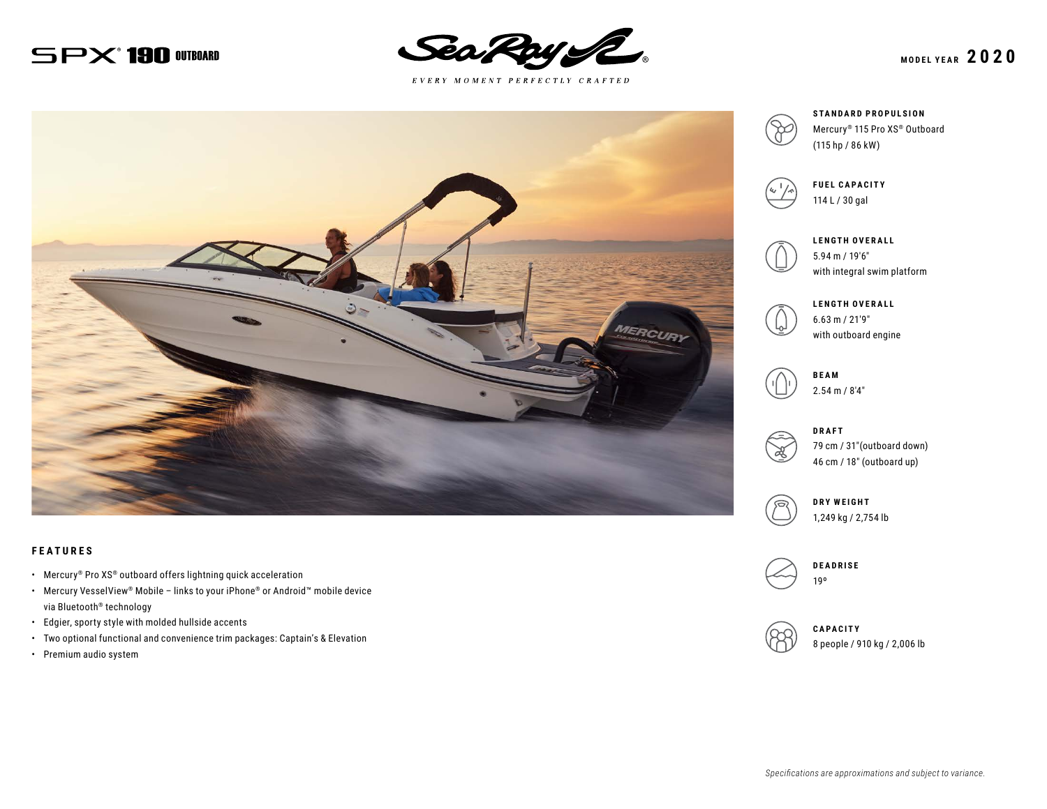# $SPX$ <sup>\*</sup> 190 OUTBOARD



 $E \; V \; E \; R \; Y \quad M \; O \; M \; E \; N \; T \quad P \; E \; R \; F \; E \; C \; T \; L \; Y \quad C \; R \; A \; F \; T \; E \; D$ 



#### **FEATURES**

- Mercury® Pro XS® outboard offers lightning quick acceleration
- Mercury VesselView® Mobile links to your iPhone® or Android™ mobile device via Bluetooth® technology
- Edgier, sporty style with molded hullside accents
- Two optional functional and convenience trim packages: Captain's & Elevation
- Premium audio system



**STANDARD PROPULSION** Mercury® 115 Pro XS® Outboard



**FUEL CAPACITY** 114 L / 30 gal



**LENGTH OVERALL** 5.94 m / 19′6″ with integral swim platform



**LENGTH OVERALL** 6.63 m / 21′9″ with outboard engine



2.54 m / 8′4″



**DRAFT** 79 cm / 31″(outboard down) 46 cm / 18″ (outboard up)



**DRY WEIGHT** 1,249 kg / 2,754 lb



**DEADRISE** 19º



**CAPACITY** 8 people / 910 kg / 2,006 lb